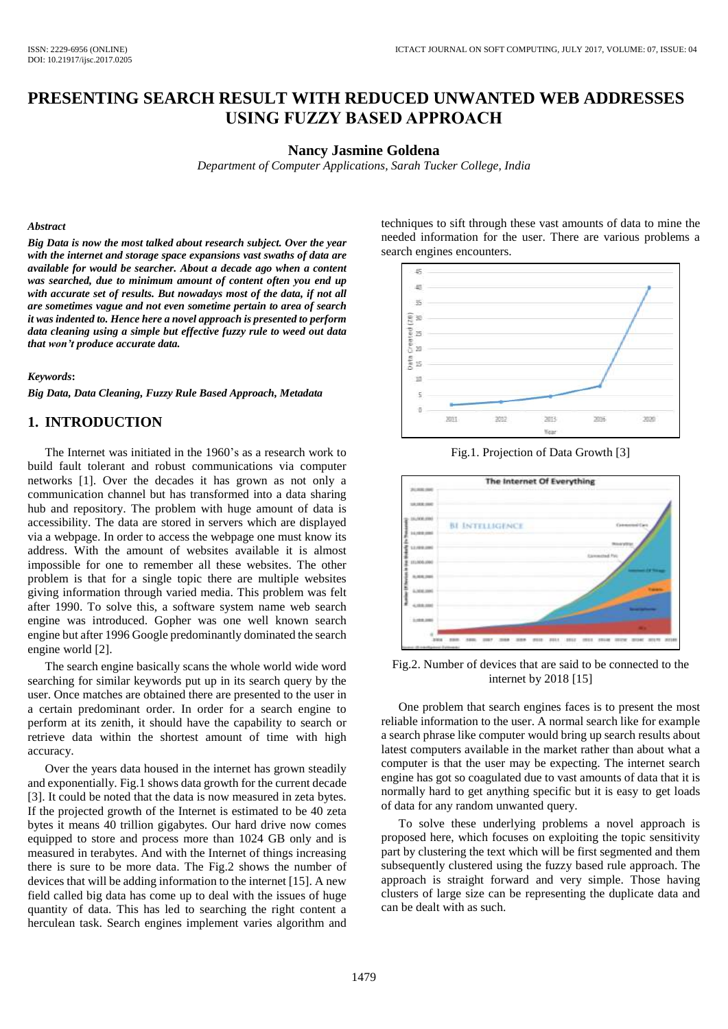# **PRESENTING SEARCH RESULT WITH REDUCED UNWANTED WEB ADDRESSES USING FUZZY BASED APPROACH**

#### **Nancy Jasmine Goldena**

*Department of Computer Applications, Sarah Tucker College, India*

#### *Abstract*

*Big Data is now the most talked about research subject. Over the year with the internet and storage space expansions vast swaths of data are available for would be searcher. About a decade ago when a content was searched, due to minimum amount of content often you end up with accurate set of results. But nowadays most of the data, if not all are sometimes vague and not even sometime pertain to area of search it was indented to. Hence here a novel approach is presented to perform data cleaning using a simple but effective fuzzy rule to weed out data that won't produce accurate data.*

#### *Keywords***:**

*Big Data, Data Cleaning, Fuzzy Rule Based Approach, Metadata*

# **1. INTRODUCTION**

The Internet was initiated in the 1960's as a research work to build fault tolerant and robust communications via computer networks [1]. Over the decades it has grown as not only a communication channel but has transformed into a data sharing hub and repository. The problem with huge amount of data is accessibility. The data are stored in servers which are displayed via a webpage. In order to access the webpage one must know its address. With the amount of websites available it is almost impossible for one to remember all these websites. The other problem is that for a single topic there are multiple websites giving information through varied media. This problem was felt after 1990. To solve this, a software system name web search engine was introduced. Gopher was one well known search engine but after 1996 Google predominantly dominated the search engine world [2].

The search engine basically scans the whole world wide word searching for similar keywords put up in its search query by the user. Once matches are obtained there are presented to the user in a certain predominant order. In order for a search engine to perform at its zenith, it should have the capability to search or retrieve data within the shortest amount of time with high accuracy.

Over the years data housed in the internet has grown steadily and exponentially. Fig.1 shows data growth for the current decade [3]. It could be noted that the data is now measured in zeta bytes. If the projected growth of the Internet is estimated to be 40 zeta bytes it means 40 trillion gigabytes. Our hard drive now comes equipped to store and process more than 1024 GB only and is measured in terabytes. And with the Internet of things increasing there is sure to be more data. The Fig.2 shows the number of devices that will be adding information to the internet [15]. A new field called big data has come up to deal with the issues of huge quantity of data. This has led to searching the right content a herculean task. Search engines implement varies algorithm and techniques to sift through these vast amounts of data to mine the needed information for the user. There are various problems a search engines encounters.



Fig.1. Projection of Data Growth [3]



Fig.2. Number of devices that are said to be connected to the internet by 2018 [15]

One problem that search engines faces is to present the most reliable information to the user. A normal search like for example a search phrase like computer would bring up search results about latest computers available in the market rather than about what a computer is that the user may be expecting. The internet search engine has got so coagulated due to vast amounts of data that it is normally hard to get anything specific but it is easy to get loads of data for any random unwanted query.

To solve these underlying problems a novel approach is proposed here, which focuses on exploiting the topic sensitivity part by clustering the text which will be first segmented and them subsequently clustered using the fuzzy based rule approach. The approach is straight forward and very simple. Those having clusters of large size can be representing the duplicate data and can be dealt with as such.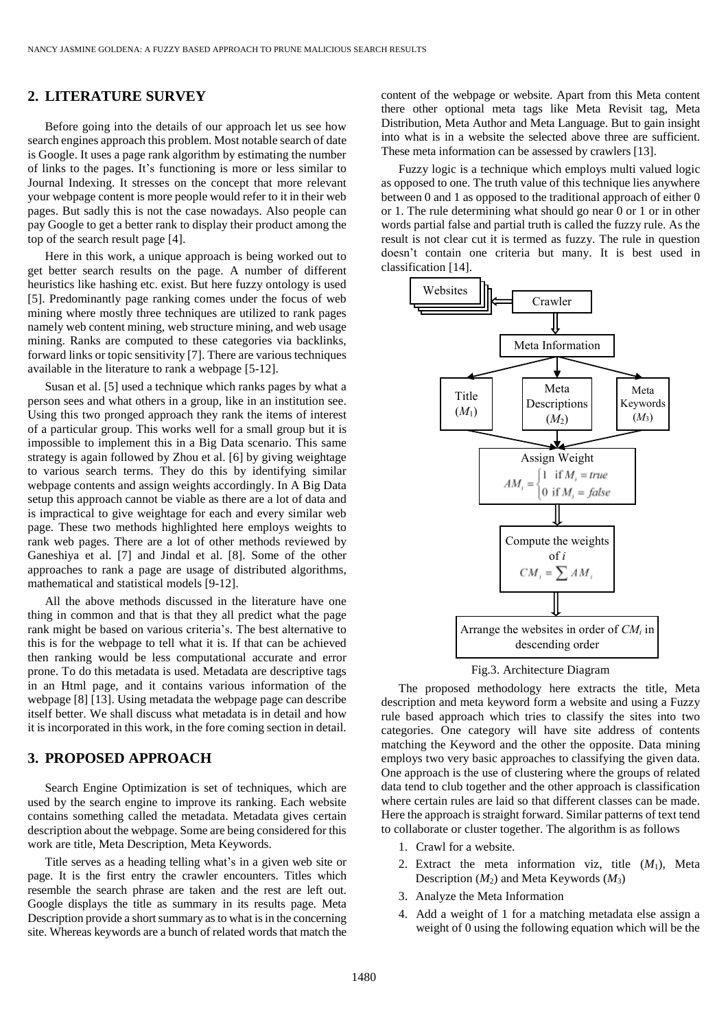### **2. LITERATURE SURVEY**

Before going into the details of our approach let us see how search engines approach this problem. Most notable search of date is Google. It uses a page rank algorithm by estimating the number of links to the pages. It's functioning is more or less similar to Journal Indexing. It stresses on the concept that more relevant your webpage content is more people would refer to it in their web pages. But sadly this is not the case nowadays. Also people can pay Google to get a better rank to display their product among the top of the search result page [4].

Here in this work, a unique approach is being worked out to get better search results on the page. A number of different heuristics like hashing etc. exist. But here fuzzy ontology is used [5]. Predominantly page ranking comes under the focus of web mining where mostly three techniques are utilized to rank pages namely web content mining, web structure mining, and web usage mining. Ranks are computed to these categories via backlinks, forward links or topic sensitivity [7]. There are various techniques available in the literature to rank a webpage [5-12].

Susan et al. [5] used a technique which ranks pages by what a person sees and what others in a group, like in an institution see. Using this two pronged approach they rank the items of interest of a particular group. This works well for a small group but it is impossible to implement this in a Big Data scenario. This same strategy is again followed by Zhou et al. [6] by giving weightage to various search terms. They do this by identifying similar webpage contents and assign weights accordingly. In A Big Data setup this approach cannot be viable as there are a lot of data and is impractical to give weightage for each and every similar web page. These two methods highlighted here employs weights to rank web pages. There are a lot of other methods reviewed by Ganeshiya et al. [7] and Jindal et al. [8]. Some of the other approaches to rank a page are usage of distributed algorithms, mathematical and statistical models [9-12].

All the above methods discussed in the literature have one thing in common and that is that they all predict what the page rank might be based on various criteria's. The best alternative to this is for the webpage to tell what it is. If that can be achieved then ranking would be less computational accurate and error prone. To do this metadata is used. Metadata are descriptive tags in an Html page, and it contains various information of the webpage [8] [13]. Using metadata the webpage page can describe itself better. We shall discuss what metadata is in detail and how it is incorporated in this work, in the fore coming section in detail.

## **3. PROPOSED APPROACH**

Search Engine Optimization is set of techniques, which are used by the search engine to improve its ranking. Each website contains something called the metadata. Metadata gives certain description about the webpage. Some are being considered for this work are title, Meta Description, Meta Keywords.

Title serves as a heading telling what's in a given web site or page. It is the first entry the crawler encounters. Titles which resemble the search phrase are taken and the rest are left out. Google displays the title as summary in its results page. Meta Description provide a short summary as to what is in the concerning site. Whereas keywords are a bunch of related words that match the content of the webpage or website. Apart from this Meta content there other optional meta tags like Meta Revisit tag, Meta Distribution, Meta Author and Meta Language. But to gain insight into what is in a website the selected above three are sufficient. These meta information can be assessed by crawlers [13].

Fuzzy logic is a technique which employs multi valued logic as opposed to one. The truth value of this technique lies anywhere between 0 and 1 as opposed to the traditional approach of either 0 or 1. The rule determining what should go near 0 or 1 or in other words partial false and partial truth is called the fuzzy rule. As the result is not clear cut it is termed as fuzzy. The rule in question doesn't contain one criteria but many. It is best used in classification [14].



Fig.3. Architecture Diagram

The proposed methodology here extracts the title, Meta description and meta keyword form a website and using a Fuzzy rule based approach which tries to classify the sites into two categories. One category will have site address of contents matching the Keyword and the other the opposite. Data mining employs two very basic approaches to classifying the given data. One approach is the use of clustering where the groups of related data tend to club together and the other approach is classification where certain rules are laid so that different classes can be made. Here the approach is straight forward. Similar patterns of text tend to collaborate or cluster together. The algorithm is as follows

- 1. Crawl for a website.
- 2. Extract the meta information viz, title (*M*1), Meta Description (*M*2) and Meta Keywords (*M*3)
- 3. Analyze the Meta Information
- 4. Add a weight of 1 for a matching metadata else assign a weight of 0 using the following equation which will be the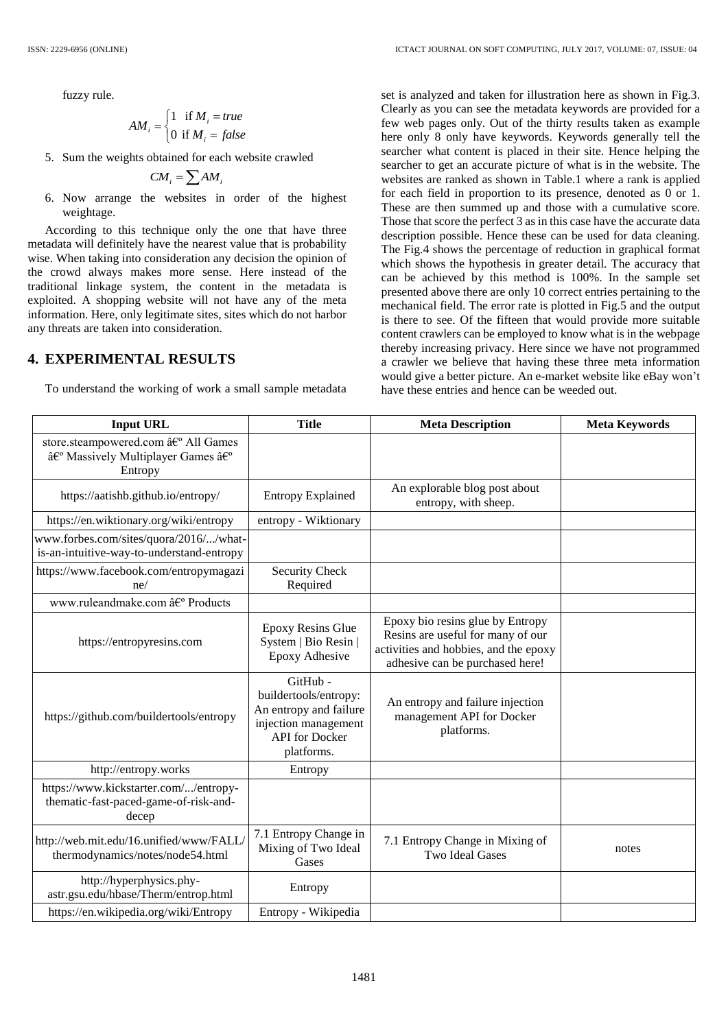fuzzy rule.

$$
AM_i = \begin{cases} 1 & \text{if } M_i = true \\ 0 & \text{if } M_i = false \end{cases}
$$

5. Sum the weights obtained for each website crawled

$$
CM_i = \sum AM_i
$$

6. Now arrange the websites in order of the highest weightage.

According to this technique only the one that have three metadata will definitely have the nearest value that is probability wise. When taking into consideration any decision the opinion of the crowd always makes more sense. Here instead of the traditional linkage system, the content in the metadata is exploited. A shopping website will not have any of the meta information. Here, only legitimate sites, sites which do not harbor any threats are taken into consideration.

### **4. EXPERIMENTAL RESULTS**

To understand the working of work a small sample metadata

set is analyzed and taken for illustration here as shown in Fig.3. Clearly as you can see the metadata keywords are provided for a few web pages only. Out of the thirty results taken as example here only 8 only have keywords. Keywords generally tell the searcher what content is placed in their site. Hence helping the searcher to get an accurate picture of what is in the website. The websites are ranked as shown in Table.1 where a rank is applied for each field in proportion to its presence, denoted as 0 or 1. These are then summed up and those with a cumulative score. Those that score the perfect 3 as in this case have the accurate data description possible. Hence these can be used for data cleaning. The Fig.4 shows the percentage of reduction in graphical format which shows the hypothesis in greater detail. The accuracy that can be achieved by this method is 100%. In the sample set presented above there are only 10 correct entries pertaining to the mechanical field. The error rate is plotted in Fig.5 and the output is there to see. Of the fifteen that would provide more suitable content crawlers can be employed to know what is in the webpage thereby increasing privacy. Here since we have not programmed a crawler we believe that having these three meta information would give a better picture. An e-market website like eBay won't have these entries and hence can be weeded out.

| <b>Input URL</b>                                                                                             | <b>Title</b>                                                                                                               | <b>Meta Description</b>                                                                                                                           | <b>Meta Keywords</b> |
|--------------------------------------------------------------------------------------------------------------|----------------------------------------------------------------------------------------------------------------------------|---------------------------------------------------------------------------------------------------------------------------------------------------|----------------------|
| store.steampowered.com › All Games<br>â€ <sup>o</sup> Massively Multiplayer Games â€ <sup>o</sup><br>Entropy |                                                                                                                            |                                                                                                                                                   |                      |
| https://aatishb.github.io/entropy/                                                                           | <b>Entropy Explained</b>                                                                                                   | An explorable blog post about<br>entropy, with sheep.                                                                                             |                      |
| https://en.wiktionary.org/wiki/entropy                                                                       | entropy - Wiktionary                                                                                                       |                                                                                                                                                   |                      |
| www.forbes.com/sites/quora/2016//what-<br>is-an-intuitive-way-to-understand-entropy                          |                                                                                                                            |                                                                                                                                                   |                      |
| https://www.facebook.com/entropymagazi<br>ne/                                                                | <b>Security Check</b><br>Required                                                                                          |                                                                                                                                                   |                      |
| www.ruleandmake.com › Products                                                                               |                                                                                                                            |                                                                                                                                                   |                      |
| https://entropyresins.com                                                                                    | <b>Epoxy Resins Glue</b><br>System   Bio Resin  <br><b>Epoxy Adhesive</b>                                                  | Epoxy bio resins glue by Entropy<br>Resins are useful for many of our<br>activities and hobbies, and the epoxy<br>adhesive can be purchased here! |                      |
| https://github.com/buildertools/entropy                                                                      | GitHub -<br>buildertools/entropy:<br>An entropy and failure<br>injection management<br><b>API</b> for Docker<br>platforms. | An entropy and failure injection<br>management API for Docker<br>platforms.                                                                       |                      |
| http://entropy.works                                                                                         | Entropy                                                                                                                    |                                                                                                                                                   |                      |
| https://www.kickstarter.com//entropy-<br>thematic-fast-paced-game-of-risk-and-<br>decep                      |                                                                                                                            |                                                                                                                                                   |                      |
| http://web.mit.edu/16.unified/www/FALL/<br>thermodynamics/notes/node54.html                                  | 7.1 Entropy Change in<br>Mixing of Two Ideal<br>Gases                                                                      | 7.1 Entropy Change in Mixing of<br><b>Two Ideal Gases</b>                                                                                         | notes                |
| http://hyperphysics.phy-<br>astr.gsu.edu/hbase/Therm/entrop.html                                             | Entropy                                                                                                                    |                                                                                                                                                   |                      |
| https://en.wikipedia.org/wiki/Entropy                                                                        | Entropy - Wikipedia                                                                                                        |                                                                                                                                                   |                      |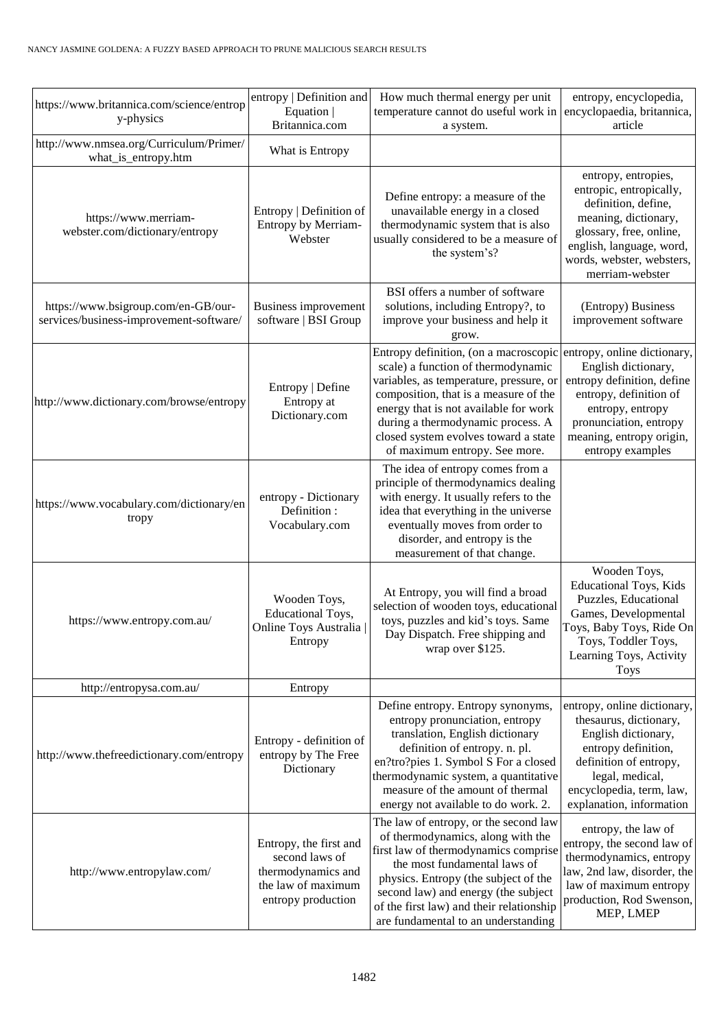| https://www.britannica.com/science/entrop<br>y-physics                         | entropy   Definition and<br>Equation  <br>Britannica.com                                                   | How much thermal energy per unit<br>temperature cannot do useful work in<br>a system.                                                                                                                                                                                                                                                                                 | entropy, encyclopedia,<br>encyclopaedia, britannica,<br>article                                                                                                                                          |
|--------------------------------------------------------------------------------|------------------------------------------------------------------------------------------------------------|-----------------------------------------------------------------------------------------------------------------------------------------------------------------------------------------------------------------------------------------------------------------------------------------------------------------------------------------------------------------------|----------------------------------------------------------------------------------------------------------------------------------------------------------------------------------------------------------|
| http://www.nmsea.org/Curriculum/Primer/<br>what_is_entropy.htm                 | What is Entropy                                                                                            |                                                                                                                                                                                                                                                                                                                                                                       |                                                                                                                                                                                                          |
| https://www.merriam-<br>webster.com/dictionary/entropy                         | Entropy   Definition of<br>Entropy by Merriam-<br>Webster                                                  | Define entropy: a measure of the<br>unavailable energy in a closed<br>thermodynamic system that is also<br>usually considered to be a measure of<br>the system's?                                                                                                                                                                                                     | entropy, entropies,<br>entropic, entropically,<br>definition, define,<br>meaning, dictionary,<br>glossary, free, online,<br>english, language, word,<br>words, webster, websters,<br>merriam-webster     |
| https://www.bsigroup.com/en-GB/our-<br>services/business-improvement-software/ | <b>Business improvement</b><br>software   BSI Group                                                        | BSI offers a number of software<br>solutions, including Entropy?, to<br>improve your business and help it<br>grow.                                                                                                                                                                                                                                                    | (Entropy) Business<br>improvement software                                                                                                                                                               |
| http://www.dictionary.com/browse/entropy                                       | Entropy   Define<br>Entropy at<br>Dictionary.com                                                           | Entropy definition, (on a macroscopic<br>scale) a function of thermodynamic<br>variables, as temperature, pressure, or<br>composition, that is a measure of the<br>energy that is not available for work<br>during a thermodynamic process. A<br>closed system evolves toward a state<br>of maximum entropy. See more.                                                | entropy, online dictionary,<br>English dictionary,<br>entropy definition, define<br>entropy, definition of<br>entropy, entropy<br>pronunciation, entropy<br>meaning, entropy origin,<br>entropy examples |
| https://www.vocabulary.com/dictionary/en<br>tropy                              | entropy - Dictionary<br>Definition:<br>Vocabulary.com                                                      | The idea of entropy comes from a<br>principle of thermodynamics dealing<br>with energy. It usually refers to the<br>idea that everything in the universe<br>eventually moves from order to<br>disorder, and entropy is the<br>measurement of that change.                                                                                                             |                                                                                                                                                                                                          |
| https://www.entropy.com.au/                                                    | Wooden Toys,<br><b>Educational Toys,</b><br>Online Toys Australia<br>Entropy                               | Wooden Toys,<br><b>Educational Toys, Kids</b><br>At Entropy, you will find a broad<br>Puzzles, Educational<br>selection of wooden toys, educational<br>Games, Developmental<br>toys, puzzles and kid's toys. Same<br>Toys, Baby Toys, Ride On<br>Day Dispatch. Free shipping and<br>Toys, Toddler Toys,<br>wrap over \$125.<br>Learning Toys, Activity<br><b>Toys</b> |                                                                                                                                                                                                          |
| http://entropysa.com.au/                                                       | Entropy                                                                                                    |                                                                                                                                                                                                                                                                                                                                                                       |                                                                                                                                                                                                          |
| http://www.thefreedictionary.com/entropy                                       | Entropy - definition of<br>entropy by The Free<br>Dictionary                                               | Define entropy. Entropy synonyms,<br>entropy pronunciation, entropy<br>translation, English dictionary<br>definition of entropy. n. pl.<br>en?tro?pies 1. Symbol S For a closed<br>thermodynamic system, a quantitative<br>measure of the amount of thermal<br>energy not available to do work. 2.                                                                    | entropy, online dictionary,<br>thesaurus, dictionary,<br>English dictionary,<br>entropy definition,<br>definition of entropy,<br>legal, medical,<br>encyclopedia, term, law,<br>explanation, information |
| http://www.entropylaw.com/                                                     | Entropy, the first and<br>second laws of<br>thermodynamics and<br>the law of maximum<br>entropy production | The law of entropy, or the second law<br>of thermodynamics, along with the<br>first law of thermodynamics comprise<br>the most fundamental laws of<br>physics. Entropy (the subject of the<br>second law) and energy (the subject<br>of the first law) and their relationship<br>are fundamental to an understanding                                                  | entropy, the law of<br>entropy, the second law of<br>thermodynamics, entropy<br>law, 2nd law, disorder, the<br>law of maximum entropy<br>production, Rod Swenson,<br>MEP, LMEP                           |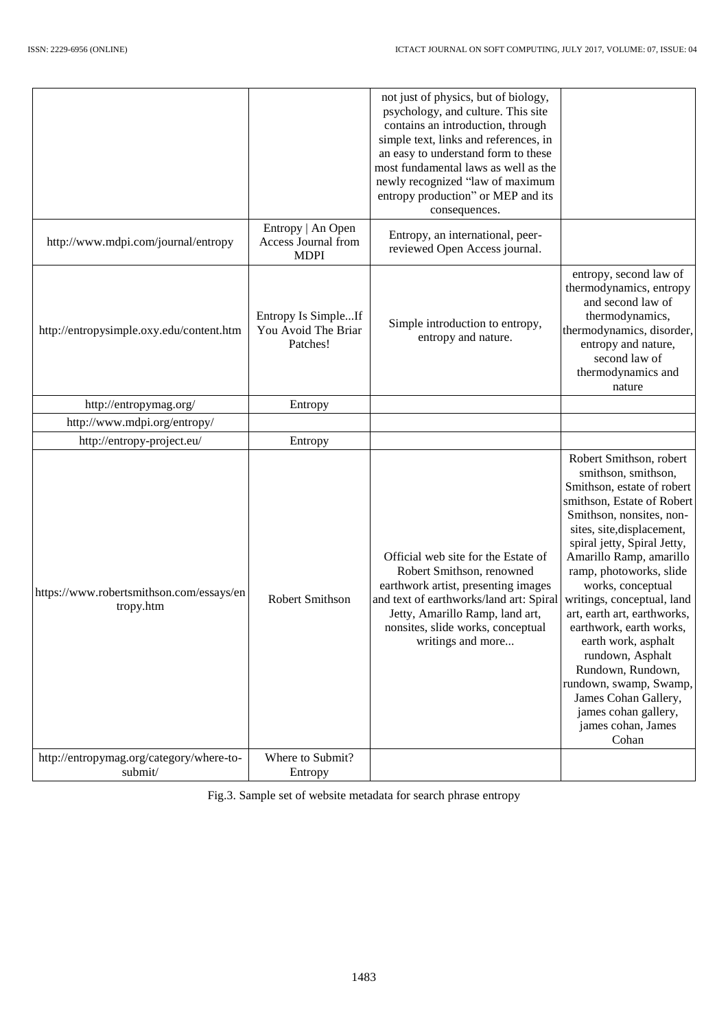|                                                       |                                                                | not just of physics, but of biology,<br>psychology, and culture. This site<br>contains an introduction, through<br>simple text, links and references, in<br>an easy to understand form to these<br>most fundamental laws as well as the<br>newly recognized "law of maximum<br>entropy production" or MEP and its<br>consequences. |                                                                                                                                                                                                                                                                                                                                                                                                                                                                                                                                                 |
|-------------------------------------------------------|----------------------------------------------------------------|------------------------------------------------------------------------------------------------------------------------------------------------------------------------------------------------------------------------------------------------------------------------------------------------------------------------------------|-------------------------------------------------------------------------------------------------------------------------------------------------------------------------------------------------------------------------------------------------------------------------------------------------------------------------------------------------------------------------------------------------------------------------------------------------------------------------------------------------------------------------------------------------|
| http://www.mdpi.com/journal/entropy                   | Entropy   An Open<br><b>Access Journal from</b><br><b>MDPI</b> | Entropy, an international, peer-<br>reviewed Open Access journal.                                                                                                                                                                                                                                                                  |                                                                                                                                                                                                                                                                                                                                                                                                                                                                                                                                                 |
| http://entropysimple.oxy.edu/content.htm              | Entropy Is SimpleIf<br>You Avoid The Briar<br>Patches!         | Simple introduction to entropy,<br>entropy and nature.                                                                                                                                                                                                                                                                             | entropy, second law of<br>thermodynamics, entropy<br>and second law of<br>thermodynamics,<br>thermodynamics, disorder,<br>entropy and nature,<br>second law of<br>thermodynamics and<br>nature                                                                                                                                                                                                                                                                                                                                                  |
| http://entropymag.org/                                | Entropy                                                        |                                                                                                                                                                                                                                                                                                                                    |                                                                                                                                                                                                                                                                                                                                                                                                                                                                                                                                                 |
| http://www.mdpi.org/entropy/                          |                                                                |                                                                                                                                                                                                                                                                                                                                    |                                                                                                                                                                                                                                                                                                                                                                                                                                                                                                                                                 |
| http://entropy-project.eu/                            | Entropy                                                        |                                                                                                                                                                                                                                                                                                                                    |                                                                                                                                                                                                                                                                                                                                                                                                                                                                                                                                                 |
| https://www.robertsmithson.com/essays/en<br>tropy.htm | Robert Smithson                                                | Official web site for the Estate of<br>Robert Smithson, renowned<br>earthwork artist, presenting images<br>and text of earthworks/land art: Spiral<br>Jetty, Amarillo Ramp, land art,<br>nonsites, slide works, conceptual<br>writings and more                                                                                    | Robert Smithson, robert<br>smithson, smithson,<br>Smithson, estate of robert<br>smithson, Estate of Robert<br>Smithson, nonsites, non-<br>sites, site, displacement,<br>spiral jetty, Spiral Jetty,<br>Amarillo Ramp, amarillo<br>ramp, photoworks, slide<br>works, conceptual<br>writings, conceptual, land<br>art, earth art, earthworks,<br>earthwork, earth works,<br>earth work, asphalt<br>rundown, Asphalt<br>Rundown, Rundown,<br>rundown, swamp, Swamp,<br>James Cohan Gallery,<br>james cohan gallery,<br>james cohan, James<br>Cohan |
| http://entropymag.org/category/where-to-<br>submit/   | Where to Submit?<br>Entropy                                    |                                                                                                                                                                                                                                                                                                                                    |                                                                                                                                                                                                                                                                                                                                                                                                                                                                                                                                                 |

Fig.3. Sample set of website metadata for search phrase entropy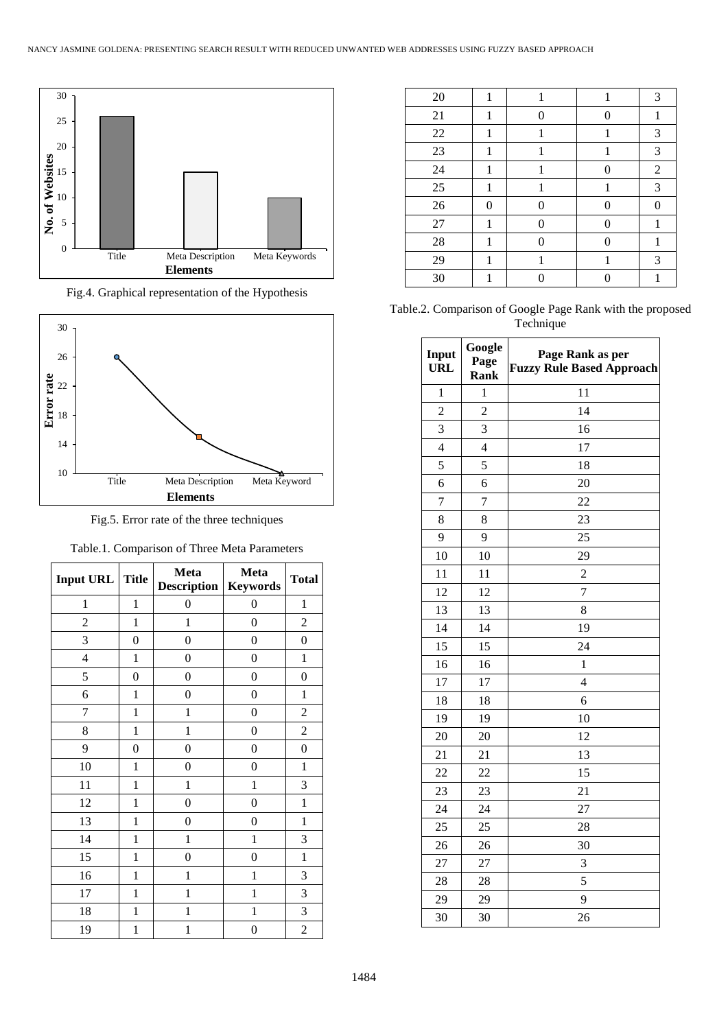

Fig.4. Graphical representation of the Hypothesis



Fig.5. Error rate of the three techniques

| Input URL      | <b>Title</b>     | Meta<br><b>Description   Keywords</b> | Meta             | <b>Total</b>     |
|----------------|------------------|---------------------------------------|------------------|------------------|
| $\mathbf{1}$   | $\mathbf{1}$     | $\boldsymbol{0}$                      | $\boldsymbol{0}$ | $\mathbf{1}$     |
| $\overline{c}$ | $\mathbf{1}$     | $\mathbf{1}$                          | $\boldsymbol{0}$ | $\overline{c}$   |
| 3              | 0                | $\boldsymbol{0}$                      | 0                | $\boldsymbol{0}$ |
| $\overline{4}$ | $\mathbf{1}$     | $\boldsymbol{0}$                      | $\boldsymbol{0}$ | $\mathbf{1}$     |
| 5              | 0                | $\boldsymbol{0}$                      | 0                | $\boldsymbol{0}$ |
| 6              | 1                | $\boldsymbol{0}$                      | $\boldsymbol{0}$ | $\mathbf{1}$     |
| 7              | $\mathbf{1}$     | $\mathbf{1}$                          | $\boldsymbol{0}$ | $\mathfrak{2}$   |
| 8              | $\mathbf{1}$     | $\mathbf{1}$                          | 0                | $\overline{2}$   |
| 9              | $\boldsymbol{0}$ | $\boldsymbol{0}$                      | $\boldsymbol{0}$ | $\boldsymbol{0}$ |
| 10             | $\mathbf{1}$     | $\boldsymbol{0}$                      | 0                | $\mathbf{1}$     |
| 11             | $\mathbf{1}$     | $\mathbf{1}$                          | $\mathbf{1}$     | 3                |
| 12             | $\mathbf{1}$     | $\boldsymbol{0}$                      | $\boldsymbol{0}$ | $\mathbf{1}$     |
| 13             | $\mathbf{1}$     | $\overline{0}$                        | 0                | $\mathbf{1}$     |
| 14             | $\mathbf{1}$     | $\mathbf{1}$                          | $\mathbf{1}$     | 3                |
| 15             | $\mathbf{1}$     | $\boldsymbol{0}$                      | 0                | $\mathbf 1$      |
| 16             | $\mathbf{1}$     | $\mathbf{1}$                          | $\mathbf{1}$     | 3                |
| 17             | $\mathbf{1}$     | $\mathbf{1}$                          | $\mathbf{1}$     | $\mathfrak{Z}$   |
| 18             | 1                | $\mathbf{1}$                          | $\mathbf{1}$     | 3                |
| 19             | 1                | $\mathbf{1}$                          | $\boldsymbol{0}$ | $\overline{c}$   |

| 20     | 1        |   |   | 3              |
|--------|----------|---|---|----------------|
| 21     | 1        | ∩ | 0 |                |
| $22\,$ |          |   |   | 3              |
| 23     |          |   |   | 3              |
| 24     |          |   | 0 | $\overline{2}$ |
| 25     | 1        |   |   | 3              |
| $26\,$ | $\theta$ | 0 | 0 | 0              |
| $27\,$ |          | 0 | 0 |                |
| 28     |          | 0 | 0 |                |
| 29     |          |   |   | 3              |
| 30     |          |   |   |                |

Table.2. Comparison of Google Page Rank with the proposed Technique

| Input<br><b>URL</b> | Google<br>Page<br><b>Rank</b> | Page Rank as per<br><b>Fuzzy Rule Based Approach</b> |
|---------------------|-------------------------------|------------------------------------------------------|
| $\mathbf{1}$        | $\mathbf{1}$                  | 11                                                   |
| $\overline{c}$      | $\overline{c}$                | 14                                                   |
| $\overline{3}$      | 3                             | 16                                                   |
| $\overline{4}$      | $\overline{\mathcal{L}}$      | 17                                                   |
| 5                   | 5                             | 18                                                   |
| 6                   | 6                             | 20                                                   |
| $\overline{7}$      | 7                             | 22                                                   |
| 8                   | 8                             | 23                                                   |
| 9                   | 9                             | 25                                                   |
| 10                  | 10                            | 29                                                   |
| 11                  | 11                            | $\overline{c}$                                       |
| 12                  | 12                            | $\overline{7}$                                       |
| 13                  | 13                            | 8                                                    |
| 14                  | 14                            | 19                                                   |
| 15                  | 15                            | 24                                                   |
| 16                  | 16                            | $\mathbf{1}$                                         |
| 17                  | 17                            | $\overline{4}$                                       |
| 18                  | 18                            | 6                                                    |
| 19                  | 19                            | 10                                                   |
| 20                  | 20                            | 12                                                   |
| 21                  | 21                            | 13                                                   |
| 22                  | 22                            | 15                                                   |
| 23                  | 23                            | 21                                                   |
| 24                  | 24                            | 27                                                   |
| 25                  | 25                            | 28                                                   |
| 26                  | 26                            | 30                                                   |
| 27                  | 27                            | 3                                                    |
| 28                  | 28                            | 5                                                    |
| 29                  | 29                            | 9                                                    |
| 30                  | 30                            | 26                                                   |